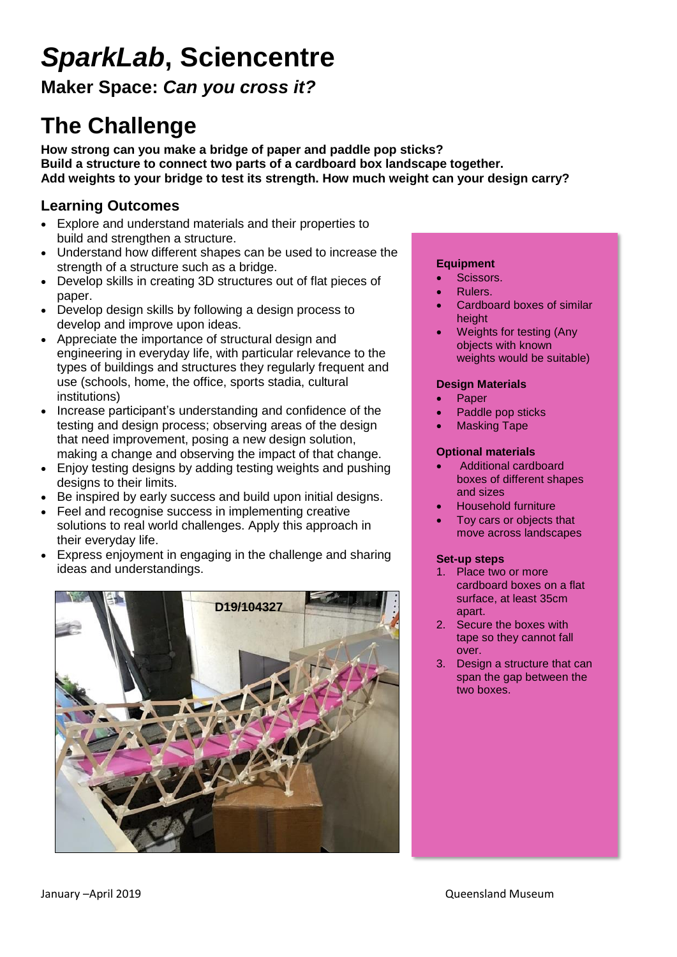# *SparkLab***, Sciencentre**

**Maker Space:** *Can you cross it?* 

# **The Challenge**

**How strong can you make a bridge of paper and paddle pop sticks? Build a structure to connect two parts of a cardboard box landscape together. Add weights to your bridge to test its strength. How much weight can your design carry?**

## **Learning Outcomes**

- Explore and understand materials and their properties to build and strengthen a structure.
- Understand how different shapes can be used to increase the strength of a structure such as a bridge.
- Develop skills in creating 3D structures out of flat pieces of paper.
- Develop design skills by following a design process to develop and improve upon ideas.
- Appreciate the importance of structural design and engineering in everyday life, with particular relevance to the types of buildings and structures they regularly frequent and use (schools, home, the office, sports stadia, cultural institutions)
- Increase participant's understanding and confidence of the testing and design process; observing areas of the design that need improvement, posing a new design solution, making a change and observing the impact of that change.
- Enjoy testing designs by adding testing weights and pushing designs to their limits.
- Be inspired by early success and build upon initial designs.
- Feel and recognise success in implementing creative solutions to real world challenges. Apply this approach in their everyday life.
- Express enjoyment in engaging in the challenge and sharing ideas and understandings.



#### **Equipment**

- Scissors.
- Rulers.
- Cardboard boxes of similar height
- Weights for testing (Any objects with known weights would be suitable)

### **Design Materials**

- Paper
- Paddle pop sticks
- Masking Tape

### **Optional materials**

- Additional cardboard boxes of different shapes and sizes
- Household furniture
- Toy cars or objects that move across landscapes

#### **Set-up steps**

- 1. Place two or more cardboard boxes on a flat surface, at least 35cm apart.
- 2. Secure the boxes with tape so they cannot fall over.
- 3. Design a structure that can span the gap between the two boxes.